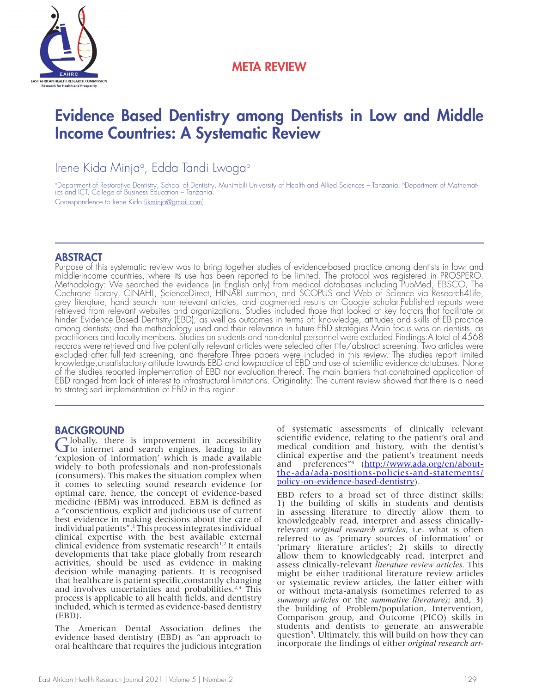

## META REVIEW

# Evidence Based Dentistry among Dentists in Low and Middle Income Countries: A Systematic Review

Irene Kida Minjaª, Edda Tandi Lwoga<sup>b</sup>

°Department of Restorative Dentistry, School of Dentistry, Muhimbili University of Health and Allied Sciences – Tanzania, <sup>ь</sup>Department of Mathematics and ICT, College of Business Education – Tanzania. Correspondence to Irene Kida (ikminja@gmail.com)

## ABSTRACT

Purpose of this systematic review was to bring together studies of evidence-based practice among dentists in low- and middle-income countries, where its use has been reported to be limited. The protocol was registered in PROSPERO. Methodology: We searched the evidence (in English only) from medical databases including PubMed, EBSCO, The<br>Cochrane Library, CINAHL, ScienceDirect, HINARI summon, and SCOPUS and Web of Science via Research4Life, Cochrane Library, CINAHL, ScienceDirect, HINARI summon, and SCOPUS and Web of Science via Research4Life,<br>grey literature, hand search from relevant articles, and augmented results on Google scholar.Published reports were<br>r retrieved from relevant websites and organizations. Studies included those that looked at key factors that facilitate or<br>hinder Evidence Based Dentistry (EBD), as well as outcomes in terms of: knowledge, attitudes and skil among dentists; and the methodology used and their relevance in future EBD strategies.Main focus was on dentists, as<br>practitioners and faculty members. Studies on students and non-dental personnel were excluded.Findings:A records were retrieved and five potentially relevant articles were selected after title/abstract screening. Two articles were excluded after full text screening, and therefore Three papers were included in this review. The studies report limited knowledge,unsatisfactory attitude towards EBD and lowpractice of EBD and use of scientific evidence databases. None of the studies reported implementation of EBD nor evaluation thereof. The main barriers that constrained application of EBD ranged from lack of interest to infrastructural limitations. Originality: The current review showed that there is a need to strategised implementation of EBD in this region.

## **BACKGROUND**

Globally, there is improvement in accessibility to internet and search engines, leading to an 'explosion of information' which is made available widely to both professionals and non-professionals (consumers). This makes the situation complex when it comes to selecting sound research evidence for optimal care, hence, the concept of evidence-based medicine (EBM) was introduced. EBM is defined as a "conscientious, explicit and judicious use of current best evidence in making decisions about the care of individual patients".1 This process integrates individual clinical expertise with the best available external clinical evidence from systematic research $1,2$  It entails developments that take place globally from research activities, should be used as evidence in making decision while managing patients. It is recognised that healthcare is patient specific,constantly changing and involves uncertainties and probabilities. $2,3$  This process is applicable to all health fields, and dentistry included, which is termed as evidence-based dentistry (EBD).

The American Dental Association defines the evidence based dentistry (EBD) as "an approach to oral healthcare that requires the judicious integration of systematic assessments of clinically relevant scientific evidence, relating to the patient's oral and medical condition and history, with the dentist's clinical expertise and the patient's treatment needs and preferences"<sup>4</sup> (http://www.ada.org/en/aboutthe-ada/ada-positions-policies-and-statements/ policy-on-evidence-based-dentistry).

EBD refers to a broad set of three distinct skills: 1) the building of skills in students and dentists in assessing literature to directly allow them to knowledgeably read, interpret and assess clinicallyrelevant *original research articles*, i.e. what is often referred to as 'primary sources of information' or 'primary literature articles'; 2) skills to directly allow them to knowledgeably read, interpret and assess clinically-relevant *literature review articles.* This might be either traditional literature review articles or systematic review articles, the latter either with or without meta-analysis (sometimes referred to as *summary articles* or the *summative literature)*; and, 3) the building of Problem/population, Intervention, Comparison group, and Outcome (PICO) skills in students and dentists to generate an answerable question<sup>5</sup>. Ultimately, this will build on how they can incorporate the findings of either *original research art-*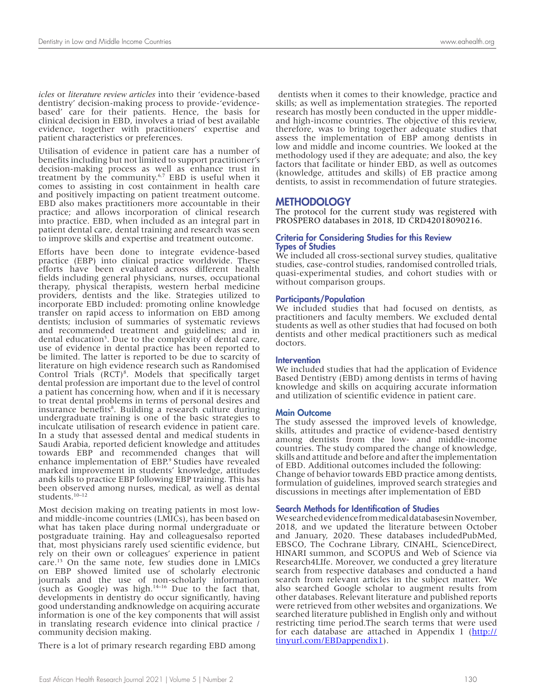*icles* or *literature review articles* into their 'evidence-based dentistry' decision-making process to provide-'evidencebased' care for their patients. Hence, the basis for clinical decision in EBD, involves a triad of best available evidence, together with practitioners' expertise and patient characteristics or preferences.

Utilisation of evidence in patient care has a number of benefits including but not limited to support practitioner's decision-making process as well as enhance trust in treatment by the community.6,7 EBD is useful when it comes to assisting in cost containment in health care and positively impacting on patient treatment outcome. EBD also makes practitioners more accountable in their practice; and allows incorporation of clinical research into practice. EBD, when included as an integral part in patient dental care, dental training and research was seen to improve skills and expertise and treatment outcome.

Efforts have been done to integrate evidence-based practice (EBP) into clinical practice worldwide. These efforts have been evaluated across different health fields including general physicians, nurses, occupational therapy, physical therapists, western herbal medicine providers, dentists and the like. Strategies utilized to incorporate EBD included: promoting online knowledge transfer on rapid access to information on EBD among dentists; inclusion of summaries of systematic reviews and recommended treatment and guidelines; and in dental education<sup>5</sup>. Due to the complexity of dental care, use of evidence in dental practice has been reported to be limited. The latter is reported to be due to scarcity of literature on high evidence research such as Randomised Control Trials (RCT)<sup>8</sup>. Models that specifically target dental profession are important due to the level of control a patient has concerning how, when and if it is necessary to treat dental problems in terms of personal desires and insurance benefits<sup>8</sup>. Building a research culture during undergraduate training is one of the basic strategies to inculcate utilisation of research evidence in patient care. In a study that assessed dental and medical students in Saudi Arabia, reported deficient knowledge and attitudes towards EBP and recommended changes that will enhance implementation of EBP.<sup>9</sup> Studies have revealed marked improvement in students' knowledge, attitudes ands kills to practice EBP following EBP training. This has been observed among nurses, medical, as well as dental students.10–12

Most decision making on treating patients in most lowand middle-income countries (LMICs), has been based on what has taken place during normal undergraduate or postgraduate training. Hay and colleaguesalso reported that, most physicians rarely used scientific evidence, but rely on their own or colleagues' experience in patient care.13 On the same note, few studies done in LMICs on EBP showed limited use of scholarly electronic journals and the use of non-scholarly information (such as Google) was high. $14-16$  Due to the fact that, developments in dentistry do occur significantly, having good understanding andknowledge on acquiring accurate information is one of the key components that will assist in translating research evidence into clinical practice / community decision making.

There is a lot of primary research regarding EBD among

 dentists when it comes to their knowledge, practice and skills; as well as implementation strategies. The reported research has mostly been conducted in the upper middleand high-income countries. The objective of this review, therefore, was to bring together adequate studies that assess the implementation of EBP among dentists in low and middle and income countries. We looked at the methodology used if they are adequate; and also, the key factors that facilitate or hinder EBD, as well as outcomes (knowledge, attitudes and skills) of EB practice among dentists, to assist in recommendation of future strategies.

#### **METHODOLOGY**

The protocol for the current study was registered with PROSPERO databases in 2018, ID CRD42018090216.

#### Criteria for Considering Studies for this Review Types of Studies

We included all cross-sectional survey studies, qualitative studies, case-control studies, randomised controlled trials, quasi-experimental studies, and cohort studies with or without comparison groups.

#### Participants/Population

We included studies that had focused on dentists, as practitioners and faculty members. We excluded dental students as well as other studies that had focused on both dentists and other medical practitioners such as medical doctors.

#### **Intervention**

We included studies that had the application of Evidence Based Dentistry (EBD) among dentists in terms of having knowledge and skills on acquiring accurate information and utilization of scientific evidence in patient care.

#### Main Outcome

The study assessed the improved levels of knowledge, skills, attitudes and practice of evidence-based dentistry among dentists from the low- and middle-income countries. The study compared the change of knowledge, skills and attitude and before and after the implementation of EBD. Additional outcomes included the following: Change of behavior towards EBD practice among dentists, formulation of guidelines, improved search strategies and discussions in meetings after implementation of EBD

#### Search Methods for Identification of Studies

We searched evidence from medical databasesin November, 2018, and we updated the literature between October and January, 2020. These databases includedPubMed, EBSCO, The Cochrane Library, CINAHL, ScienceDirect, HINARI summon, and SCOPUS and Web of Science via Research4LIfe. Moreover, we conducted a grey literature search from respective databases and conducted a hand search from relevant articles in the subject matter. We also searched Google scholar to augment results from other databases. Relevant literature and published reports were retrieved from other websites and organizations. We searched literature published in English only and without restricting time period.The search terms that were used for each database are attached in Appendix 1 (http:// tinyurl.com/EBDappendix1).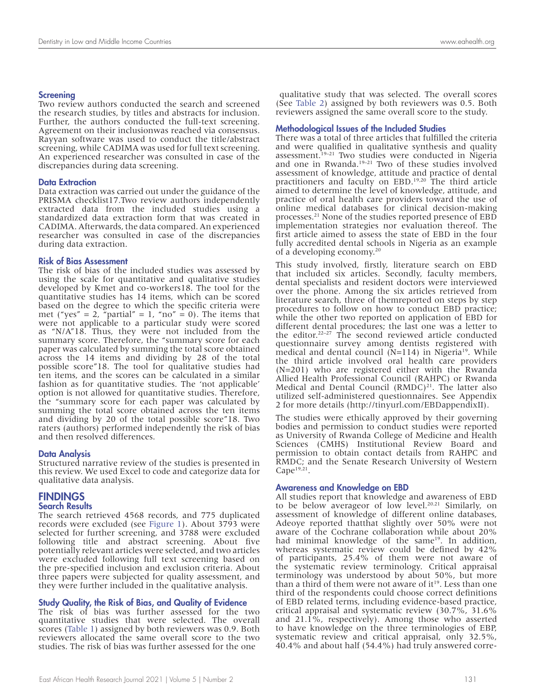#### **Screening**

Two review authors conducted the search and screened the research studies, by titles and abstracts for inclusion. Further, the authors conducted the full-text screening. Agreement on their inclusionwas reached via consensus. Rayyan software was used to conduct the title/abstract screening, while CADIMA was used for full text screening. An experienced researcher was consulted in case of the discrepancies during data screening.

#### Data Extraction

Data extraction was carried out under the guidance of the PRISMA checklist17.Two review authors independently extracted data from the included studies using a standardized data extraction form that was created in CADIMA. Afterwards, the data compared. An experienced researcher was consulted in case of the discrepancies during data extraction.

#### Risk of Bias Assessment

The risk of bias of the included studies was assessed by using the scale for quantitative and qualitative studies developed by Kmet and co-workers18. The tool for the quantitative studies has 14 items, which can be scored based on the degree to which the specific criteria were met ("yes" = 2, "partial" = 1, "no" = 0). The items that were not applicable to a particular study were scored as "N/A"18. Thus, they were not included from the summary score. Therefore, the "summary score for each paper was calculated by summing the total score obtained across the 14 items and dividing by 28 of the total possible score"18. The tool for qualitative studies had ten items, and the scores can be calculated in a similar fashion as for quantitative studies. The 'not applicable' option is not allowed for quantitative studies. Therefore, the "summary score for each paper was calculated by summing the total score obtained across the ten items and dividing by 20 of the total possible score"18. Two raters (authors) performed independently the risk of bias and then resolved differences.

#### Data Analysis

Structured narrative review of the studies is presented in this review. We used Excel to code and categorize data for qualitative data analysis.

## **FINDINGS**

### Search Results

The search retrieved 4568 records, and 775 duplicated records were excluded (see Figure 1). About 3793 were selected for further screening, and 3788 were excluded following title and abstract screening. About five potentially relevant articles were selected, and two articles were excluded following full text screening based on the pre-specified inclusion and exclusion criteria. About three papers were subjected for quality assessment, and they were further included in the qualitative analysis.

#### Study Quality, the Risk of Bias, and Quality of Evidence

The risk of bias was further assessed for the two quantitative studies that were selected. The overall scores (Table 1) assigned by both reviewers was 0.9. Both reviewers allocated the same overall score to the two studies. The risk of bias was further assessed for the one

 qualitative study that was selected. The overall scores (See Table 2) assigned by both reviewers was 0.5. Both reviewers assigned the same overall score to the study.

#### Methodological Issues of the Included Studies

There was a total of three articles that fulfilled the criteria and were qualified in qualitative synthesis and quality assessment.19–21 Two studies were conducted in Nigeria and one in Rwanda.19–21 Two of these studies involved assessment of knowledge, attitude and practice of dental practitioners and faculty on EBD.19,20 The third article aimed to determine the level of knowledge, attitude, and practice of oral health care providers toward the use of online medical databases for clinical decision-making processes.21 None of the studies reported presence of EBD implementation strategies nor evaluation thereof. The first article aimed to assess the state of EBD in the four fully accredited dental schools in Nigeria as an example of a developing economy.20

This study involved, firstly, literature search on EBD that included six articles. Secondly, faculty members, dental specialists and resident doctors were interviewed over the phone. Among the six articles retrieved from literature search, three of themreported on steps by step procedures to follow on how to conduct EBD practice; while the other two reported on application of EBD for different dental procedures; the last one was a letter to the editor.22–27 The second reviewed article conducted questionnaire survey among dentists registered with medical and dental council  $(N=114)$  in Nigeria<sup>19</sup>. While the third article involved oral health care providers (N=201) who are registered either with the Rwanda Allied Health Professional Council (RAHPC) or Rwanda Medical and Dental Council  $(RMDC)^{21}$ . The latter also utilized self-administered questionnaires. See Appendix 2 for more details (http://tinyurl.com/EBDappendixII).

The studies were ethically approved by their governing bodies and permission to conduct studies were reported as University of Rwanda College of Medicine and Health Sciences (CMHS) Institutional Review Board and permission to obtain contact details from RAHPC and RMDC; and the Senate Research University of Western Cape $19,21$ .

#### Awareness and Knowledge on EBD

All studies report that knowledge and awareness of EBD to be below averageor of low level.<sup>20.21</sup> Similarly, on assessment of knowledge of different online databases, Adeoye reported thatthat slightly over 50% were not aware of the Cochrane collaboration while about 20% had minimal knowledge of the same<sup>19</sup>. In addition, whereas systematic review could be defined by 42% of participants, 25.4% of them were not aware of the systematic review terminology. Critical appraisal terminology was understood by about 50%, but more than a third of them were not aware of  $it^{19}$ . Less than one third of the respondents could choose correct definitions of EBD related terms, including evidence-based practice, critical appraisal and systematic review (30.7%, 31.6% and  $21.\overline{1\%}$ , respectively). Among those who asserted to have knowledge on the three terminologies of EBP, systematic review and critical appraisal, only 32.5%, 40.4% and about half (54.4%) had truly answered corre-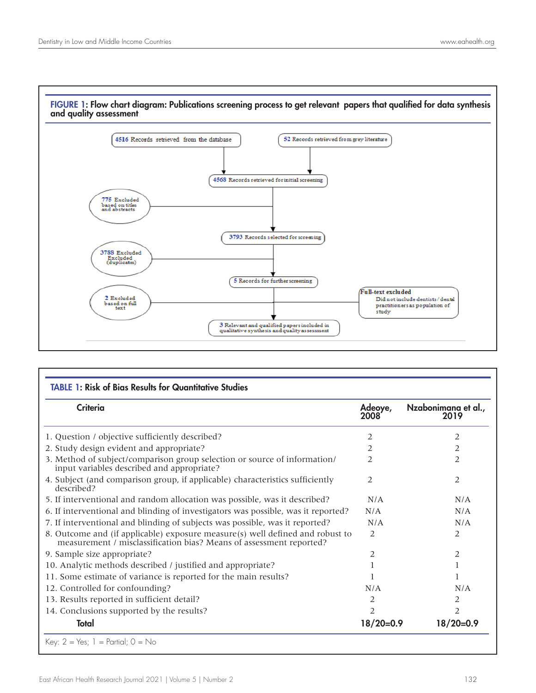

| FIGURE 1: Flow chart diagram: Publications screening process to get relevant papers that qualified for data synthesis |  |
|-----------------------------------------------------------------------------------------------------------------------|--|
| and quality assessment                                                                                                |  |

| <b>TABLE 1: Risk of Bias Results for Quantitative Studies</b>                                                                                        |                        |                             |  |
|------------------------------------------------------------------------------------------------------------------------------------------------------|------------------------|-----------------------------|--|
| Criteria                                                                                                                                             | Adeoye,<br><b>2008</b> | Nzabonimana et al.,<br>2019 |  |
| 1. Question / objective sufficiently described?                                                                                                      | 2                      | 2                           |  |
| 2. Study design evident and appropriate?                                                                                                             | 2                      | 2                           |  |
| 3. Method of subject/comparison group selection or source of information/<br>input variables described and appropriate?                              | 2                      | 2                           |  |
| 4. Subject (and comparison group, if applicable) characteristics sufficiently<br>described?                                                          | 2                      | 2                           |  |
| 5. If interventional and random allocation was possible, was it described?                                                                           | N/A                    | N/A                         |  |
| 6. If interventional and blinding of investigators was possible, was it reported?                                                                    | N/A                    | N/A                         |  |
| 7. If interventional and blinding of subjects was possible, was it reported?                                                                         | N/A                    | N/A                         |  |
| 8. Outcome and (if applicable) exposure measure(s) well defined and robust to<br>measurement / misclassification bias? Means of assessment reported? | 2                      | 2                           |  |
| 9. Sample size appropriate?                                                                                                                          | 2                      | 2                           |  |
| 10. Analytic methods described / justified and appropriate?                                                                                          |                        |                             |  |
| 11. Some estimate of variance is reported for the main results?                                                                                      |                        |                             |  |
| 12. Controlled for confounding?                                                                                                                      | N/A                    | N/A                         |  |
| 13. Results reported in sufficient detail?                                                                                                           | 2                      | 2                           |  |
| 14. Conclusions supported by the results?                                                                                                            | 2                      | $\overline{2}$              |  |
| Total                                                                                                                                                | $18/20=0.9$            | $18/20=0.9$                 |  |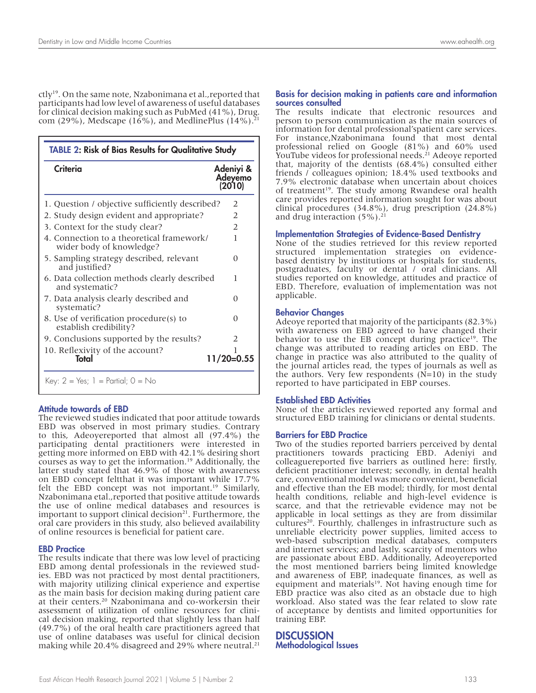ctly19. On the same note, Nzabonimana et al.,reported that participants had low level of awareness of useful databases for clinical decision making such as PubMed (41%), Drug. com (29%), Medscape (16%), and MedlinePlus (14%).<sup>21</sup>

| <b>TABLE 2: Risk of Bias Results for Qualitative Study</b>            |                                |  |
|-----------------------------------------------------------------------|--------------------------------|--|
| <b>Criteria</b>                                                       | Adeniyi &<br>Adeyemo<br>(2010) |  |
| 1. Question / objective sufficiently described?                       | 2                              |  |
| 2. Study design evident and appropriate?                              | 2                              |  |
| 3. Context for the study clear?                                       | $\overline{2}$                 |  |
| 4. Connection to a theoretical framework/<br>wider body of knowledge? | 1                              |  |
| 5. Sampling strategy described, relevant<br>and justified?            | 0                              |  |
| 6. Data collection methods clearly described<br>and systematic?       | 1                              |  |
| 7. Data analysis clearly described and<br>systematic?                 | 0                              |  |
| 8. Use of verification procedure(s) to<br>establish credibility?      | 0                              |  |
| 9. Conclusions supported by the results?                              | 2                              |  |
| 10. Reflexivity of the account?<br>Total                              | $11/20=0.55$                   |  |

#### Attitude towards of EBD

The reviewed studies indicated that poor attitude towards EBD was observed in most primary studies. Contrary to this, Adeoyereported that almost all (97.4%) the participating dental practitioners were interested in getting more informed on EBD with 42.1% desiring short courses as way to get the information.19 Additionally, the latter study stated that 46.9% of those with awareness on EBD concept feltthat it was important while 17.7% felt the EBD concept was not important.<sup>19</sup> Similarly, Nzabonimana etal.,reported that positive attitude towards the use of online medical databases and resources is important to support clinical decision $21$ . Furthermore, the oral care providers in this study, also believed availability of online resources is beneficial for patient care.

#### EBD Practice

The results indicate that there was low level of practicing EBD among dental professionals in the reviewed studies. EBD was not practiced by most dental practitioners, with majority utilizing clinical experience and expertise as the main basis for decision making during patient care at their centers.20 Nzabonimana and co-workersin their assessment of utilization of online resources for clini cal decision making, reported that slightly less than half (49.7%) of the oral health care practitioners agreed that use of online databases was useful for clinical decision making while 20.4% disagreed and 29% where neutral.<sup>21</sup>

#### Basis for decision making in patients care and information sources consulted

The results indicate that electronic resources and person to person communication as the main sources of information for dental professional'spatient care services. For instance,Nzabonimana found that most dental professional relied on Google (81%) and 60% used YouTube videos for professional needs.<sup>21</sup> Adeoye reported that, majority of the dentists (68.4%) consulted either friends / colleagues opinion; 18.4% used textbooks and 7.9% electronic database when uncertain about choices of treatment<sup>19</sup>. The study among Rwandese oral health care provides reported information sought for was about clinical procedures (34.8%), drug prescription (24.8%) and drug interaction  $(5\%)$ .<sup>21</sup>

#### Implementation Strategies of Evidence-Based Dentistry

None of the studies retrieved for this review reported structured implementation strategies on evidencebased dentistry by institutions or hospitals for students, postgraduates, faculty or dental / oral clinicians. All studies reported on knowledge, attitudes and practice of EBD. Therefore, evaluation of implementation was not applicable.

#### Behavior Changes

Adeoye reported that majority of the participants (82.3%) with awareness on EBD agreed to have changed their behavior to use the EB concept during practice<sup>19</sup>. The change was attributed to reading articles on EBD. The change in practice was also attributed to the quality of the journal articles read, the types of journals as well as the authors. Very few respondents  $(N=10)$  in the study reported to have participated in EBP courses.

#### Established EBD Activities

None of the articles reviewed reported any formal and structured EBD training for clinicians or dental students.

#### Barriers for EBD Practice

Two of the studies reported barriers perceived by dental practitioners towards practicing EBD. Adeniyi and colleaguereported five barriers as outlined here: firstly, deficient practitioner interest; secondly, in dental health care, conventional model was more convenient, beneficial and effective than the EB model; thirdly, for most dental health conditions, reliable and high-level evidence is scarce, and that the retrievable evidence may not be applicable in local settings as they are from dissimilar cultures<sup>20</sup>. Fourthly, challenges in infrastructure such as unreliable electricity power supplies, limited access to web-based subscription medical databases, computers and internet services; and lastly, scarcity of mentors who are passionate about EBD. Additionally, Adeoyereported the most mentioned barriers being limited knowledge and awareness of EBP, inadequate finances, as well as equipment and materials $19$ . Not having enough time for EBD practice was also cited as an obstacle due to high workload. Also stated was the fear related to slow rate of acceptance by dentists and limited opportunities for training EBP.

```
DISCUSSION
Methodological Issues
```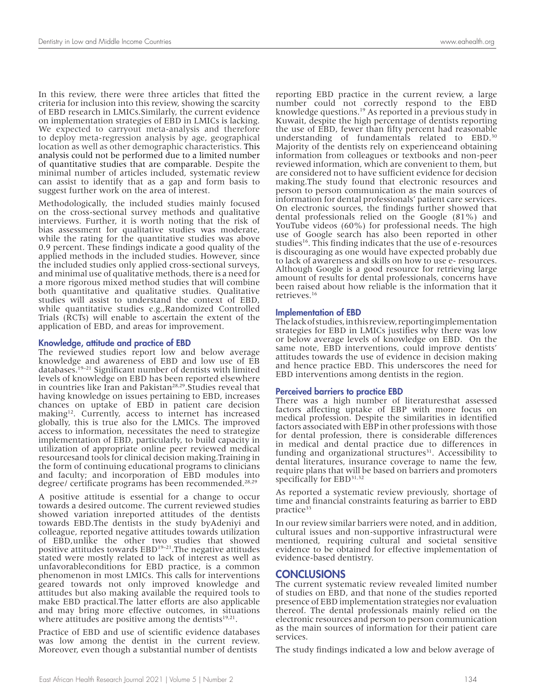In this review, there were three articles that fitted the criteria for inclusion into this review, showing the scarcity of EBD research in LMICs.Similarly, the current evidence on implementation strategies of EBD in LMICs is lacking. We expected to carryout meta-analysis and therefore to deploy meta-regression analysis by age, geographical location as well as other demographic characteristics. This analysis could not be performed due to a limited number of quantitative studies that are comparable. Despite the minimal number of articles included, systematic review can assist to identify that as a gap and form basis to suggest further work on the area of interest.

Methodologically, the included studies mainly focused on the cross-sectional survey methods and qualitative interviews. Further, it is worth noting that the risk of bias assessment for qualitative studies was moderate, while the rating for the quantitative studies was above 0.9 percent. These findings indicate a good quality of the applied methods in the included studies. However, since the included studies only applied cross-sectional surveys, and minimal use of qualitative methods, there is a need for a more rigorous mixed method studies that will combine both quantitative and qualitative studies. Qualitative studies will assist to understand the context of EBD, while quantitative studies e.g.,Randomized Controlled Trials (RCTs) will enable to ascertain the extent of the application of EBD, and areas for improvement.

#### Knowledge, attitude and practice of EBD

The reviewed studies report low and below average knowledge and awareness of EBD and low use of EB databases.19–21 Significant number of dentists with limited levels of knowledge on EBD has been reported elsewhere in countries like Iran and Pakistan<sup>28,29</sup>. Studies reveal that having knowledge on issues pertaining to EBD, increases chances on uptake of EBD in patient care decision making<sup>12</sup>. Currently, access to internet has increased globally, this is true also for the LMICs. The improved access to information, necessitates the need to strategize implementation of EBD, particularly, to build capacity in utilization of appropriate online peer reviewed medical resourcesand tools for clinical decision making.Training in the form of continuing educational programs to clinicians and faculty; and incorporation of EBD modules into degree/ certificate programs has been recommended.<sup>28,29</sup>

A positive attitude is essential for a change to occur towards a desired outcome. The current reviewed studies showed variation inreported attitudes of the dentists towards EBD.The dentists in the study byAdeniyi and colleague, reported negative attitudes towards utilization of EBD,unlike the other two studies that showed positive attitudes towards EBD<sup>19-21</sup>. The negative attitudes stated were mostly related to lack of interest as well as unfavorableconditions for EBD practice, is a common phenomenon in most LMICs. This calls for interventions geared towards not only improved knowledge and attitudes but also making available the required tools to make EBD practical.The latter efforts are also applicable and may bring more effective outcomes, in situations where attitudes are positive among the dentists $19,21$ .

Practice of EBD and use of scientific evidence databases was low among the dentist in the current review. Moreover, even though a substantial number of dentists

reporting EBD practice in the current review, a large number could not correctly respond to the EBD knowledge questions.19 As reported in a previous study in Kuwait, despite the high percentage of dentists reporting the use of EBD, fewer than fifty percent had reasonable understanding of fundamentals related to EBD.30 Majority of the dentists rely on experienceand obtaining information from colleagues or textbooks and non-peer reviewed information, which are convenient to them, but are considered not to have sufficient evidence for decision making.The study found that electronic resources and person to person communication as the main sources of information for dental professionals' patient care services. On electronic sources, the findings further showed that dental professionals relied on the Google (81%) and YouTube videos (60%) for professional needs. The high use of Google search has also been reported in other studies<sup>16</sup>. This finding indicates that the use of e-resources is discouraging as one would have expected probably due to lack of awareness and skills on how to use e- resources. Although Google is a good resource for retrieving large amount of results for dental professionals, concerns have been raised about how reliable is the information that it retrieves.16

#### Implementation of EBD

The lack of studies, in this review, reporting implementation strategies for EBD in LMICs justifies why there was low or below average levels of knowledge on EBD. On the same note, EBD interventions, could improve dentists' attitudes towards the use of evidence in decision making and hence practice EBD. This underscores the need for EBD interventions among dentists in the region.

#### Perceived barriers to practice EBD

There was a high number of literaturesthat assessed factors affecting uptake of EBP with more focus on medical profession. Despite the similarities in identified factors associated with EBP in other professions with those for dental profession, there is considerable differences in medical and dental practice due to differences in funding and organizational structures $31$ . Accessibility to dental literatures, insurance coverage to name the few, require plans that will be based on barriers and promoters specifically for EBD<sup>31,32</sup>

As reported a systematic review previously, shortage of time and financial constraints featuring as barrier to EBD practice<sup>33</sup>

In our review similar barriers were noted, and in addition, cultural issues and non-supportive infrastructural were mentioned, requiring cultural and societal sensitive evidence to be obtained for effective implementation of evidence-based dentistry.

#### **CONCLUSIONS**

The current systematic review revealed limited number of studies on EBD, and that none of the studies reported presence of EBD implementation strategies nor evaluation thereof. The dental professionals mainly relied on the electronic resources and person to person communication as the main sources of information for their patient care services.

The study findings indicated a low and below average of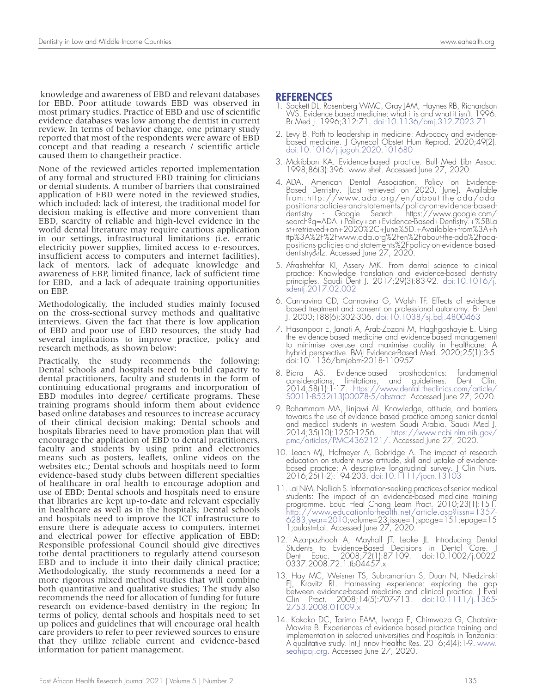knowledge and awareness of EBD and relevant databases for EBD. Poor attitude towards EBD was observed in most primary studies. Practice of EBD and use of scientific evidence databases was low among the dentist in current review. In terms of behavior change, one primary study reported that most of the respondents were aware of EBD concept and that reading a research / scientific article caused them to changetheir practice.

None of the reviewed articles reported implementation of any formal and structured EBD training for clinicians or dental students. A number of barriers that constrained application of EBD were noted in the reviewed studies, which included: lack of interest, the traditional model for decision making is effective and more convenient than EBD, scarcity of reliable and high-level evidence in the world dental literature may require cautious application in our settings, infrastructural limitations (i.e. erratic electricity power supplies, limited access to e-resources, insufficient access to computers and internet facilities), lack of mentors, lack of adequate knowledge and awareness of EBP, limited finance, lack of sufficient time for EBD, and a lack of adequate training opportunities on EBP.

Methodologically, the included studies mainly focused on the cross-sectional survey methods and qualitative interviews. Given the fact that there is low application of EBD and poor use of EBD resources, the study had several implications to improve practice, policy and research methods, as shown below:

Practically, the study recommends the following: Dental schools and hospitals need to build capacity to dental practitioners, faculty and students in the form of continuing educational programs and incorporation of EBD modules into degree/ certificate programs. These training programs should inform them about evidence based online databases and resources to increase accuracy of their clinical decision making; Dental schools and hospitals libraries need to have promotion plan that will encourage the application of EBD to dental practitioners, faculty and students by using print and electronics means such as posters, leaflets, online videos on the websites etc.; Dental schools and hospitals need to form evidence-based study clubs between different specialties of healthcare in oral health to encourage adoption and use of EBD; Dental schools and hospitals need to ensure that libraries are kept up-to-date and relevant especially in healthcare as well as in the hospitals; Dental schools and hospitals need to improve the ICT infrastructure to ensure there is adequate access to computers, internet and electrical power for effective application of EBD; Responsible professional Council should give directives tothe dental practitioners to regularly attend courseson EBD and to include it into their daily clinical practice; Methodologically, the study recommends a need for a more rigorous mixed method studies that will combine both quantitative and qualitative studies; The study also recommends the need for allocation of funding for future research on evidence-based dentistry in the region; In terms of policy, dental schools and hospitals need to set up polices and guidelines that will encourage oral health care providers to refer to peer reviewed sources to ensure that they utilize reliable current and evidence-based information for patient management.

#### REFERENCES

- Sackett DL, Rosenberg WMC, Gray JAM, Haynes RB, Richardson WS. Evidence based medicine: what it is and what it isn't. 1996. Br Med J. 1996;312:71. doi:10.1136/bmj.312.7023.71
- 2. Levy B. Path to leadership in medicine: Advocacy and evidencebased medicine. J Gynecol Obstet Hum Reprod. 2020;49(2). doi:10.1016/j.jogoh.2020.101680
- 3. Mckibbon KA. Evidence-based practice. Bull Med Libr Assoc. 1998;86(3):396. www.shef. Accessed June 27, 2020.
- 4. ADA. American Dental Association. Policy on Evidence-Based Dentistry. [Last retrieved on 2020, June]. Available from:http://www.ada.org/en/about-the-ada/adapositions-policies-and-statements/policy-on-evidence-baseddentistry - Google Search. https://www.google.com/ search?q=ADA.+Policy+on+Evidence-Based+Dentistry.+%5BLa st+retrieved+on+2020%2C+June%5D.+Available+from%3A+h ttp%3A%2F%2Fwww.ada.org%2Fen%2Fabout-the-ada%2Fadapositions-policies-and-statements%2Fpolicy-on-evidence-baseddentistry&rlz. Accessed June 27, 2020.
- 5. Afrashtehfar KI, Assery MK. From dental science to clinical practice: Knowledge translation and evidence-based dentistry principles. Saudi Dent J. 2017;29(3):83-92. doi:10.1016/j. sdentj.2017.02.002
- 6. Cannavina CD, Cannavina G, Walsh TF. Effects of evidencebased treatment and consent on professional autonomy. Br Dent J. 2000;188(6):302-306. doi:10.1038/sj.bdj.4800463
- 7. Hasanpoor E, Janati A, Arab-Zozani M, Haghgoshayie E. Using the evidence-based medicine and evidence-based management to minimise overuse and maximise quality in healthcare: A hybrid perspective. BMJ Evidence-Based Med. 2020;25(1):3-5. doi:10.1136/bmjebm-2018-110957
- 8. Bidra AS. Evidence-based prosthodontics: fundamental considerations, limitations, and guidelines. 2014;58(1):1-17. https://www.dental.theclinics.com/article/ S0011-8532(13)00078-5/abstract. Accessed June 27, 2020.
- 9. Bahammam MA, Linjawi AI. Knowledge, attitude, and barriers towards the use of evidence based practice among senior dental and medical students in western Saudi Arabia. Saudi Med J. 2014;35(10):1250-1256. https://www.ncbi.nlm.nih.gov/ pmc/articles/PMC4362121/. Accessed June 27, 2020.
- 10. Leach MJ, Hofmeyer A, Bobridge A. The impact of research education on student nurse attitude, skill and uptake of evidencebased practice: A descriptive longitudinal survey. J Clin Nurs. 2016;25(1-2):194-203. doi:10.1111/jocn.13103
- 11. Lai NM, Nalliah S. Information-seeking practices of senior medical students: The impact of an evidence-based medicine training programme. Educ Heal Chang Learn Pract. 2010;23(1):151. http://www.educationforhealth.net/article.asp?issn=1357- 6283;year=2010;volume=23;issue=1;spage=151;epage=15 1;aulast=Lai. Accessed June 27, 2020.
- 12. Azarpazhooh A, Mayhall JT, Leake JL. Introducing Dental Students to Evidence-Based Decisions in Dental Care. J Dent Educ. 2008;72(1):87-109. doi:10.1002/j.0022- 0337.2008.72.1.tb04457.x
- 13. Hay MC, Weisner TS, Subramanian S, Duan N, Niedzinski EJ, Kravitz RL. Harnessing experience: exploring the gap between evidence-based medicine and clinical practice. J Eval Clin Pract. 2008;14(5):707-713. doi:10.1111/j.1365-<br>2753.2008.01009.x
- 14. Kakoko DC, Tarimo EAM, Lwoga E, Chimwaza G, Chataira- Mawire B. Experiences of evidence based practice training and implementation in selected universities and hospitals in Tanzania: A qualitative study. Int J Innov Healthc Res. 2016;4(4):1-9. www. seahipaj.org. Accessed June 27, 2020.